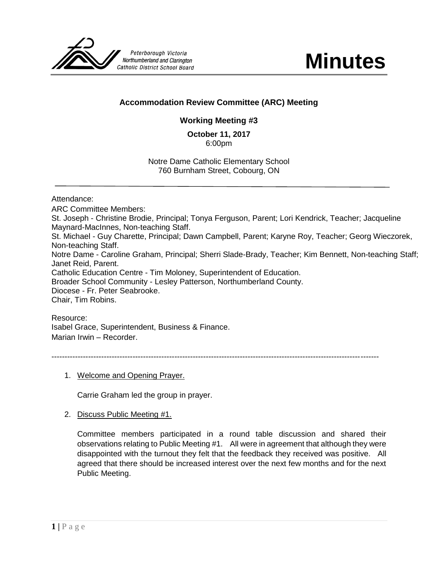

## **Accommodation Review Committee (ARC) Meeting**

# **Working Meeting #3**

**October 11, 2017** 6:00pm

Notre Dame Catholic Elementary School 760 Burnham Street, Cobourg, ON

Attendance:

ARC Committee Members: St. Joseph - Christine Brodie, Principal; Tonya Ferguson, Parent; Lori Kendrick, Teacher; Jacqueline Maynard-MacInnes, Non-teaching Staff. St. Michael - Guy Charette, Principal; Dawn Campbell, Parent; Karyne Roy, Teacher; Georg Wieczorek, Non-teaching Staff. Notre Dame - Caroline Graham, Principal; Sherri Slade-Brady, Teacher; Kim Bennett, Non-teaching Staff; Janet Reid, Parent. Catholic Education Centre - Tim Moloney, Superintendent of Education. Broader School Community - Lesley Patterson, Northumberland County. Diocese - Fr. Peter Seabrooke. Chair, Tim Robins.

Resource:

Isabel Grace, Superintendent, Business & Finance. Marian Irwin – Recorder.

-----------------------------------------------------------------------------------------------------------------------------

1. Welcome and Opening Prayer.

Carrie Graham led the group in prayer.

2. Discuss Public Meeting #1.

Committee members participated in a round table discussion and shared their observations relating to Public Meeting #1. All were in agreement that although they were disappointed with the turnout they felt that the feedback they received was positive. All agreed that there should be increased interest over the next few months and for the next Public Meeting.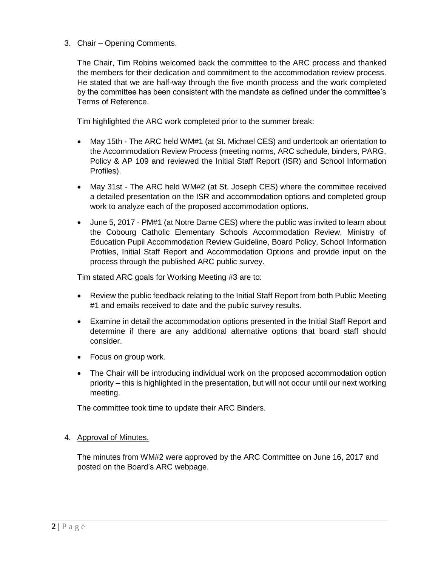## 3. Chair – Opening Comments.

The Chair, Tim Robins welcomed back the committee to the ARC process and thanked the members for their dedication and commitment to the accommodation review process. He stated that we are half-way through the five month process and the work completed by the committee has been consistent with the mandate as defined under the committee's Terms of Reference.

Tim highlighted the ARC work completed prior to the summer break:

- May 15th The ARC held WM#1 (at St. Michael CES) and undertook an orientation to the Accommodation Review Process (meeting norms, ARC schedule, binders, PARG, Policy & AP 109 and reviewed the Initial Staff Report (ISR) and School Information Profiles).
- May 31st The ARC held WM#2 (at St. Joseph CES) where the committee received a detailed presentation on the ISR and accommodation options and completed group work to analyze each of the proposed accommodation options.
- June 5, 2017 PM#1 (at Notre Dame CES) where the public was invited to learn about the Cobourg Catholic Elementary Schools Accommodation Review, Ministry of Education Pupil Accommodation Review Guideline, Board Policy, School Information Profiles, Initial Staff Report and Accommodation Options and provide input on the process through the published ARC public survey.

Tim stated ARC goals for Working Meeting #3 are to:

- Review the public feedback relating to the Initial Staff Report from both Public Meeting #1 and emails received to date and the public survey results.
- Examine in detail the accommodation options presented in the Initial Staff Report and determine if there are any additional alternative options that board staff should consider.
- Focus on group work.
- The Chair will be introducing individual work on the proposed accommodation option priority – this is highlighted in the presentation, but will not occur until our next working meeting.

The committee took time to update their ARC Binders.

#### 4. Approval of Minutes.

The minutes from WM#2 were approved by the ARC Committee on June 16, 2017 and posted on the Board's ARC webpage.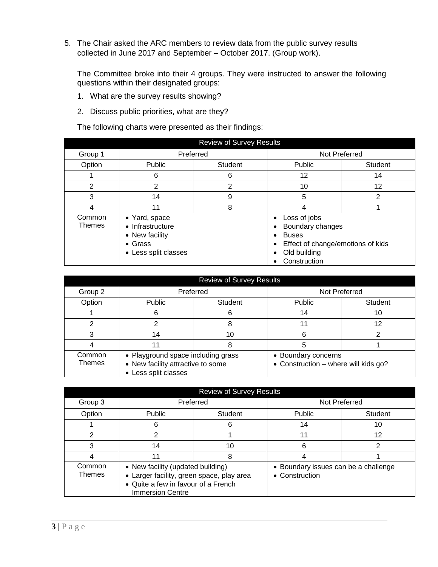## 5. The Chair asked the ARC members to review data from the public survey results collected in June 2017 and September – October 2017. (Group work).

The Committee broke into their 4 groups. They were instructed to answer the following questions within their designated groups:

- 1. What are the survey results showing?
- 2. Discuss public priorities, what are they?

The following charts were presented as their findings:

| <b>Review of Survey Results</b> |                                                                                                |   |                                                                                                                       |         |
|---------------------------------|------------------------------------------------------------------------------------------------|---|-----------------------------------------------------------------------------------------------------------------------|---------|
| Group 1                         | Preferred                                                                                      |   | Not Preferred                                                                                                         |         |
| Option                          | Public<br>Student                                                                              |   | Public                                                                                                                | Student |
|                                 | 6                                                                                              | 6 | 12                                                                                                                    | 14      |
| 2                               | 2                                                                                              | 2 | 10                                                                                                                    | 12      |
| 3                               | 14                                                                                             | 9 | 5                                                                                                                     | 2       |
| 4                               | 11                                                                                             | 8 | 4                                                                                                                     |         |
| Common<br>Themes                | • Yard, space<br>• Infrastructure<br>• New facility<br>$\bullet$ Grass<br>• Less split classes |   | Loss of jobs<br>Boundary changes<br><b>Buses</b><br>Effect of change/emotions of kids<br>Old building<br>Construction |         |

| <b>Review of Survey Results</b> |                                                                                                 |                |                                                             |                |
|---------------------------------|-------------------------------------------------------------------------------------------------|----------------|-------------------------------------------------------------|----------------|
| Group 2                         | Preferred                                                                                       |                | Not Preferred                                               |                |
| Option                          | Public                                                                                          | <b>Student</b> | Public                                                      | <b>Student</b> |
|                                 | 6                                                                                               |                | 14                                                          | 10             |
|                                 | ົ                                                                                               |                |                                                             | 12             |
|                                 | 14                                                                                              | 10             |                                                             |                |
|                                 | 11                                                                                              |                | 5                                                           |                |
| Common<br><b>Themes</b>         | • Playground space including grass<br>• New facility attractive to some<br>• Less split classes |                | • Boundary concerns<br>• Construction - where will kids go? |                |

| <b>Review of Survey Results</b> |                                                                                                                                                  |           |                                                        |                |
|---------------------------------|--------------------------------------------------------------------------------------------------------------------------------------------------|-----------|--------------------------------------------------------|----------------|
| Group 3                         |                                                                                                                                                  | Preferred | Not Preferred                                          |                |
| Option                          | <b>Public</b><br>Student                                                                                                                         |           | Public                                                 | <b>Student</b> |
|                                 | n                                                                                                                                                |           | 14                                                     | 10             |
| 2                               |                                                                                                                                                  |           |                                                        | 12             |
| 3                               | 14<br>10                                                                                                                                         |           | 6                                                      |                |
|                                 | 11<br>8                                                                                                                                          |           |                                                        |                |
| Common<br><b>Themes</b>         | • New facility (updated building)<br>• Larger facility, green space, play area<br>• Quite a few in favour of a French<br><b>Immersion Centre</b> |           | • Boundary issues can be a challenge<br>• Construction |                |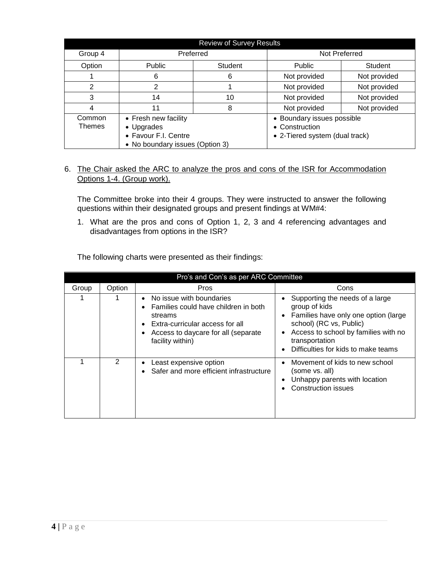| <b>Review of Survey Results</b> |                                                                                               |  |                                                                                |                |
|---------------------------------|-----------------------------------------------------------------------------------------------|--|--------------------------------------------------------------------------------|----------------|
| Group 4                         | Preferred                                                                                     |  | Not Preferred                                                                  |                |
| Option                          | <b>Public</b><br>Student                                                                      |  | <b>Public</b>                                                                  | <b>Student</b> |
|                                 | 6<br>6                                                                                        |  | Not provided                                                                   | Not provided   |
| 2                               | 2                                                                                             |  | Not provided                                                                   | Not provided   |
| 3                               | 14<br>10                                                                                      |  | Not provided                                                                   | Not provided   |
| 4                               | 11<br>8                                                                                       |  | Not provided                                                                   | Not provided   |
| Common<br>Themes                | • Fresh new facility<br>• Upgrades<br>• Favour F.I. Centre<br>• No boundary issues (Option 3) |  | • Boundary issues possible<br>• Construction<br>• 2-Tiered system (dual track) |                |

## 6. The Chair asked the ARC to analyze the pros and cons of the ISR for Accommodation Options 1-4. (Group work).

The Committee broke into their 4 groups. They were instructed to answer the following questions within their designated groups and present findings at WM#4:

1. What are the pros and cons of Option 1, 2, 3 and 4 referencing advantages and disadvantages from options in the ISR?

| Pro's and Con's as per ARC Committee |        |                                                                                                                                                                           |                                                                                                                                                                                                                                                             |  |
|--------------------------------------|--------|---------------------------------------------------------------------------------------------------------------------------------------------------------------------------|-------------------------------------------------------------------------------------------------------------------------------------------------------------------------------------------------------------------------------------------------------------|--|
| Group                                | Option | Pros                                                                                                                                                                      | Cons                                                                                                                                                                                                                                                        |  |
|                                      |        | No issue with boundaries<br>Families could have children in both<br>streams<br>Extra-curricular access for all<br>Access to daycare for all (separate<br>facility within) | Supporting the needs of a large<br>group of kids<br>Families have only one option (large<br>$\bullet$<br>school) (RC vs, Public)<br>Access to school by families with no<br>$\bullet$<br>transportation<br>Difficulties for kids to make teams<br>$\bullet$ |  |
|                                      | 2      | Least expensive option<br>Safer and more efficient infrastructure                                                                                                         | Movement of kids to new school<br>$\bullet$<br>(some vs. all)<br>Unhappy parents with location<br>٠<br><b>Construction issues</b>                                                                                                                           |  |

The following charts were presented as their findings: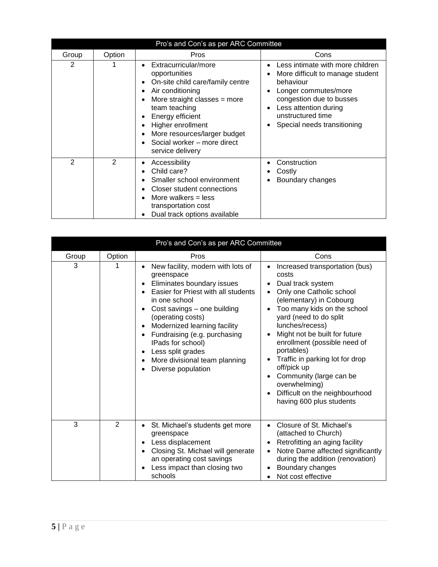| Pro's and Con's as per ARC Committee |        |                                                                                                                                                                                                                                                                                                          |                                                                                                                                                                                                                                           |  |
|--------------------------------------|--------|----------------------------------------------------------------------------------------------------------------------------------------------------------------------------------------------------------------------------------------------------------------------------------------------------------|-------------------------------------------------------------------------------------------------------------------------------------------------------------------------------------------------------------------------------------------|--|
| Group                                | Option | Pros                                                                                                                                                                                                                                                                                                     | Cons                                                                                                                                                                                                                                      |  |
| 2                                    |        | Extracurricular/more<br>$\bullet$<br>opportunities<br>On-site child care/family centre<br>٠<br>Air conditioning<br>٠<br>More straight classes $=$ more<br>team teaching<br>Energy efficient<br>Higher enrollment<br>٠<br>More resources/larger budget<br>Social worker – more direct<br>service delivery | Less intimate with more children<br>$\bullet$<br>More difficult to manage student<br>٠<br>behaviour<br>Longer commutes/more<br>congestion due to busses<br>Less attention during<br>٠<br>unstructured time<br>Special needs transitioning |  |
| 2                                    | 2      | Accessibility<br>Child care?<br>Smaller school environment<br>Closer student connections<br>More walkers $=$ less<br>transportation cost<br>Dual track options available                                                                                                                                 | Construction<br>Costly<br>Boundary changes                                                                                                                                                                                                |  |

| Pro's and Con's as per ARC Committee |                |                                                                                                                                                                                                                                                                                                          |                                                                                                                                                                                                                                                                                                                      |  |
|--------------------------------------|----------------|----------------------------------------------------------------------------------------------------------------------------------------------------------------------------------------------------------------------------------------------------------------------------------------------------------|----------------------------------------------------------------------------------------------------------------------------------------------------------------------------------------------------------------------------------------------------------------------------------------------------------------------|--|
| Group<br>3                           | Option<br>1    | Pros<br>New facility, modern with lots of<br>greenspace<br>Eliminates boundary issues<br>Easier for Priest with all students<br>in one school<br>Cost savings - one building<br>$\bullet$<br>(operating costs)<br>Modernized learning facility<br>$\bullet$<br>Fundraising (e.g. purchasing<br>$\bullet$ | Cons<br>Increased transportation (bus)<br>costs<br>Dual track system<br>٠<br>Only one Catholic school<br>$\bullet$<br>(elementary) in Cobourg<br>Too many kids on the school<br>$\bullet$<br>yard (need to do split<br>lunches/recess)<br>Might not be built for future<br>$\bullet$<br>enrollment (possible need of |  |
|                                      |                | IPads for school)<br>Less split grades<br>$\bullet$<br>More divisional team planning<br>Diverse population                                                                                                                                                                                               | portables)<br>Traffic in parking lot for drop<br>$\bullet$<br>off/pick up<br>Community (large can be<br>$\bullet$<br>overwhelming)<br>Difficult on the neighbourhood<br>$\bullet$<br>having 600 plus students                                                                                                        |  |
| 3                                    | $\overline{2}$ | St. Michael's students get more<br>$\bullet$<br>greenspace<br>Less displacement<br>$\bullet$<br>Closing St. Michael will generate<br>an operating cost savings<br>Less impact than closing two<br>schools                                                                                                | Closure of St. Michael's<br>$\bullet$<br>(attached to Church)<br>Retrofitting an aging facility<br>٠<br>Notre Dame affected significantly<br>during the addition (renovation)<br>Boundary changes<br>٠<br>Not cost effective                                                                                         |  |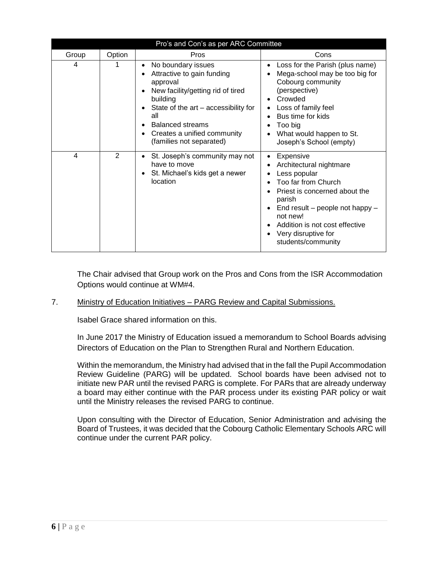| Pro's and Con's as per ARC Committee |        |                                                                                                                                                                                                                                                                                                                          |                                                                                                                                                                                                                                                                                                                                 |  |
|--------------------------------------|--------|--------------------------------------------------------------------------------------------------------------------------------------------------------------------------------------------------------------------------------------------------------------------------------------------------------------------------|---------------------------------------------------------------------------------------------------------------------------------------------------------------------------------------------------------------------------------------------------------------------------------------------------------------------------------|--|
| Group                                | Option | Pros                                                                                                                                                                                                                                                                                                                     | Cons                                                                                                                                                                                                                                                                                                                            |  |
| 4                                    |        | No boundary issues<br>$\bullet$<br>Attractive to gain funding<br>٠<br>approval<br>New facility/getting rid of tired<br>$\bullet$<br>building<br>State of the art – accessibility for<br>$\bullet$<br>all<br><b>Balanced streams</b><br>$\bullet$<br>Creates a unified community<br>$\bullet$<br>(families not separated) | Loss for the Parish (plus name)<br>$\bullet$<br>Mega-school may be too big for<br>٠<br>Cobourg community<br>(perspective)<br>Crowded<br>$\bullet$<br>Loss of family feel<br>٠<br>Bus time for kids<br>$\bullet$<br>Too big<br>٠<br>What would happen to St.<br>Joseph's School (empty)                                          |  |
| 4                                    | 2      | St. Joseph's community may not<br>$\bullet$<br>have to move<br>St. Michael's kids get a newer<br>٠<br>location                                                                                                                                                                                                           | Expensive<br>$\bullet$<br>Architectural nightmare<br>٠<br>Less popular<br>٠<br>Too far from Church<br>$\bullet$<br>Priest is concerned about the<br>parish<br>End result - people not happy -<br>$\bullet$<br>not new!<br>Addition is not cost effective<br>$\bullet$<br>Very disruptive for<br>$\bullet$<br>students/community |  |

The Chair advised that Group work on the Pros and Cons from the ISR Accommodation Options would continue at WM#4.

#### 7. Ministry of Education Initiatives – PARG Review and Capital Submissions.

Isabel Grace shared information on this.

In June 2017 the Ministry of Education issued a memorandum to School Boards advising Directors of Education on the Plan to Strengthen Rural and Northern Education.

Within the memorandum, the Ministry had advised that in the fall the Pupil Accommodation Review Guideline (PARG) will be updated. School boards have been advised not to initiate new PAR until the revised PARG is complete. For PARs that are already underway a board may either continue with the PAR process under its existing PAR policy or wait until the Ministry releases the revised PARG to continue.

Upon consulting with the Director of Education, Senior Administration and advising the Board of Trustees, it was decided that the Cobourg Catholic Elementary Schools ARC will continue under the current PAR policy.